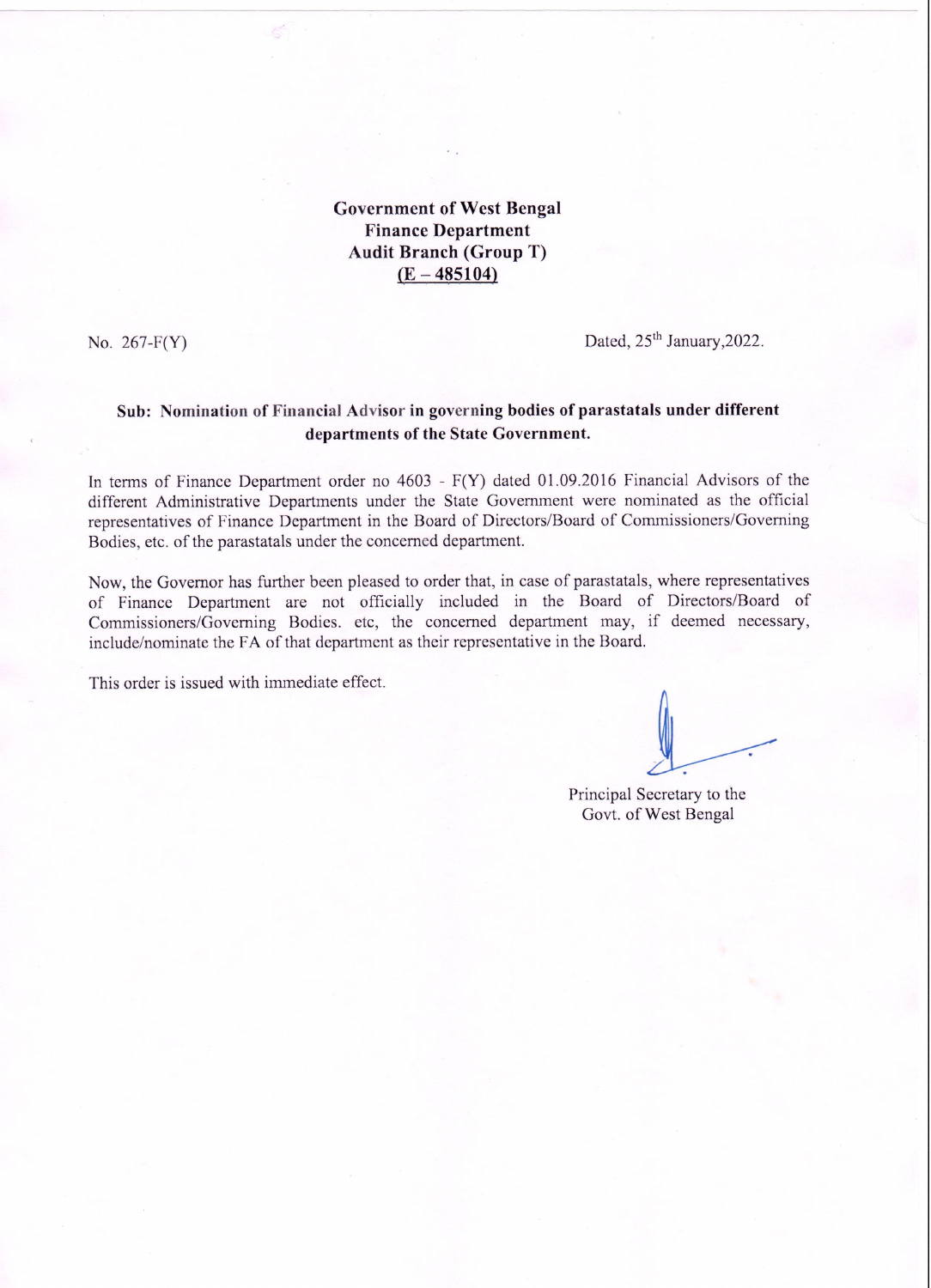**Government of West Bengal Finance Department Audit Branch (Group T)**  $(E - 485104)$ 

No.  $267-F(Y)$ 

Dated, 25<sup>th</sup> January, 2022.

## Sub: Nomination of Financial Advisor in governing bodies of parastatals under different departments of the State Government.

In terms of Finance Department order no  $4603$  -  $F(Y)$  dated 01.09.2016 Financial Advisors of the different Administrative Departments under the State Government were nominated as the official representatives of Finance Department in the Board of Directors/Board of Commissioners/Governing Bodies, etc. of the parastatals under the concerned department.

Now, the Governor has further been pleased to order that, in case of parastatals, where representatives of Finance Department are not officially included in the Board of Directors/Board of Commissioners/Governing Bodies. etc, the concerned department may, if deemed necessary, include/nominate the FA of that department as their representative in the Board.

This order is issued with immediate effect.

Principal Secretary to the Govt. of West Bengal